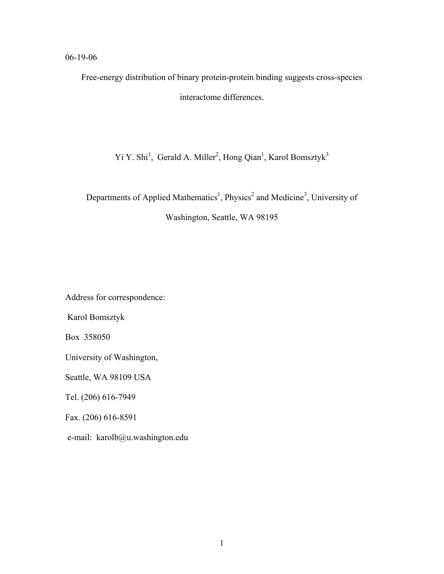### 06-19-06

Free-energy distribution of binary protein-protein binding suggests cross-species interactome differences.

Yi Y. Shi<sup>1</sup>, Gerald A. Miller<sup>2</sup>, Hong Qian<sup>1</sup>, Karol Bomsztyk<sup>3</sup>

Departments of Applied Mathematics<sup>1</sup>, Physics<sup>2</sup> and Medicine<sup>3</sup>, University of Washington, Seattle, WA 98195

Address for correspondence:

Karol Bomsztyk

Box 358050

University of Washington,

Seattle, WA 98109 USA

Tel. (206) 616-7949

Fax. (206) 616-8591

e-mail: karolb@u.washington.edu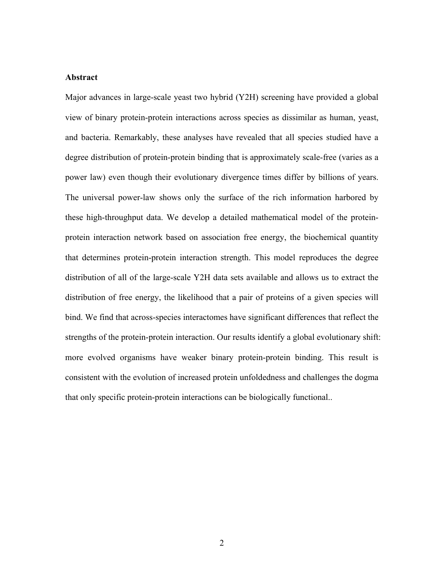#### **Abstract**

Major advances in large-scale yeast two hybrid (Y2H) screening have provided a global view of binary protein-protein interactions across species as dissimilar as human, yeast, and bacteria. Remarkably, these analyses have revealed that all species studied have a degree distribution of protein-protein binding that is approximately scale-free (varies as a power law) even though their evolutionary divergence times differ by billions of years. The universal power-law shows only the surface of the rich information harbored by these high-throughput data. We develop a detailed mathematical model of the proteinprotein interaction network based on association free energy, the biochemical quantity that determines protein-protein interaction strength. This model reproduces the degree distribution of all of the large-scale Y2H data sets available and allows us to extract the distribution of free energy, the likelihood that a pair of proteins of a given species will bind. We find that across-species interactomes have significant differences that reflect the strengths of the protein-protein interaction. Our results identify a global evolutionary shift: more evolved organisms have weaker binary protein-protein binding. This result is consistent with the evolution of increased protein unfoldedness and challenges the dogma that only specific protein-protein interactions can be biologically functional..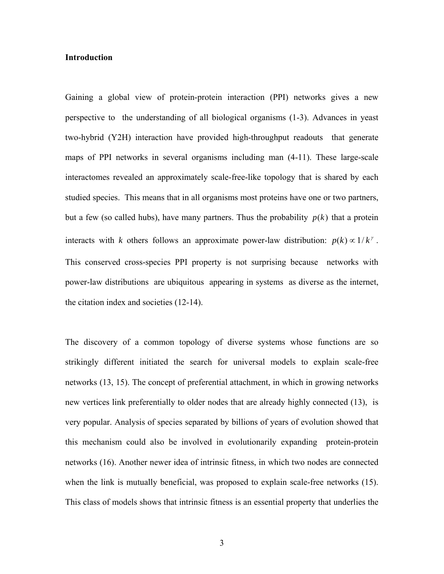#### **Introduction**

Gaining a global view of protein-protein interaction (PPI) networks gives a new perspective to the understanding of all biological organisms (1-3). Advances in yeast two-hybrid (Y2H) interaction have provided high-throughput readouts that generate maps of PPI networks in several organisms including man (4-11). These large-scale interactomes revealed an approximately scale-free-like topology that is shared by each studied species. This means that in all organisms most proteins have one or two partners, but a few (so called hubs), have many partners. Thus the probability  $p(k)$  that a protein interacts with *k* others follows an approximate power-law distribution:  $p(k) \propto 1/k^{\gamma}$ . This conserved cross-species PPI property is not surprising because networks with power-law distributions are ubiquitous appearing in systems as diverse as the internet, the citation index and societies (12-14).

The discovery of a common topology of diverse systems whose functions are so strikingly different initiated the search for universal models to explain scale-free networks (13, 15). The concept of preferential attachment, in which in growing networks new vertices link preferentially to older nodes that are already highly connected (13), is very popular. Analysis of species separated by billions of years of evolution showed that this mechanism could also be involved in evolutionarily expanding protein-protein networks (16). Another newer idea of intrinsic fitness, in which two nodes are connected when the link is mutually beneficial, was proposed to explain scale-free networks (15). This class of models shows that intrinsic fitness is an essential property that underlies the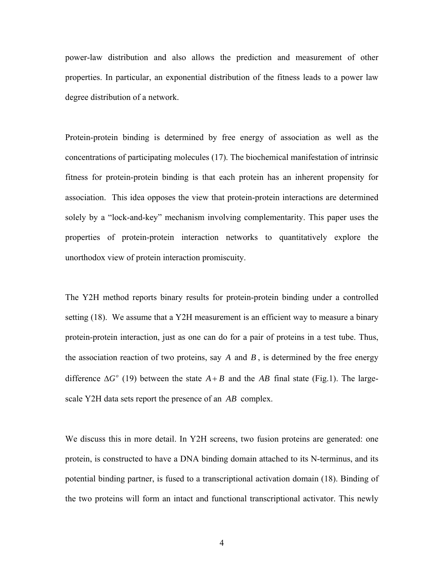power-law distribution and also allows the prediction and measurement of other properties. In particular, an exponential distribution of the fitness leads to a power law degree distribution of a network.

Protein-protein binding is determined by free energy of association as well as the concentrations of participating molecules (17). The biochemical manifestation of intrinsic fitness for protein-protein binding is that each protein has an inherent propensity for association. This idea opposes the view that protein-protein interactions are determined solely by a "lock-and-key" mechanism involving complementarity. This paper uses the properties of protein-protein interaction networks to quantitatively explore the unorthodox view of protein interaction promiscuity.

The Y2H method reports binary results for protein-protein binding under a controlled setting (18). We assume that a Y2H measurement is an efficient way to measure a binary protein-protein interaction, just as one can do for a pair of proteins in a test tube. Thus, the association reaction of two proteins, say *A* and *B* , is determined by the free energy difference  $\Delta G^{\circ}$  (19) between the state  $A + B$  and the *AB* final state (Fig.1). The largescale Y2H data sets report the presence of an *AB* complex.

We discuss this in more detail. In Y2H screens, two fusion proteins are generated: one protein, is constructed to have a DNA binding domain attached to its N-terminus, and its potential binding partner, is fused to a transcriptional activation domain (18). Binding of the two proteins will form an intact and functional transcriptional activator. This newly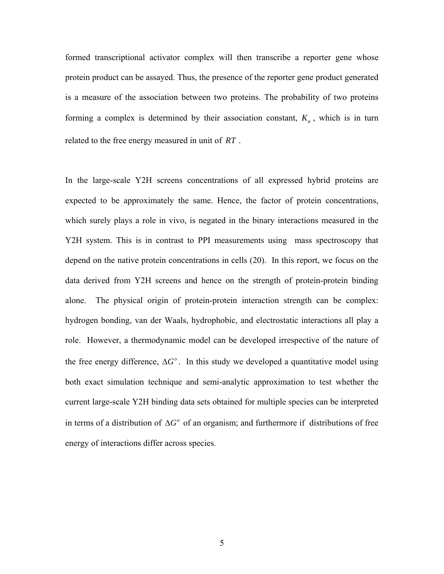formed transcriptional activator complex will then transcribe a reporter gene whose protein product can be assayed. Thus, the presence of the reporter gene product generated is a measure of the association between two proteins. The probability of two proteins forming a complex is determined by their association constant,  $K_a$ , which is in turn related to the free energy measured in unit of *RT* .

In the large-scale Y2H screens concentrations of all expressed hybrid proteins are expected to be approximately the same. Hence, the factor of protein concentrations, which surely plays a role in vivo, is negated in the binary interactions measured in the Y2H system. This is in contrast to PPI measurements using mass spectroscopy that depend on the native protein concentrations in cells (20). In this report, we focus on the data derived from Y2H screens and hence on the strength of protein-protein binding alone. The physical origin of protein-protein interaction strength can be complex: hydrogen bonding, van der Waals, hydrophobic, and electrostatic interactions all play a role. However, a thermodynamic model can be developed irrespective of the nature of the free energy difference,  $\Delta G^{\circ}$ . In this study we developed a quantitative model using both exact simulation technique and semi-analytic approximation to test whether the current large-scale Y2H binding data sets obtained for multiple species can be interpreted in terms of a distribution of  $\Delta G^{\circ}$  of an organism; and furthermore if distributions of free energy of interactions differ across species.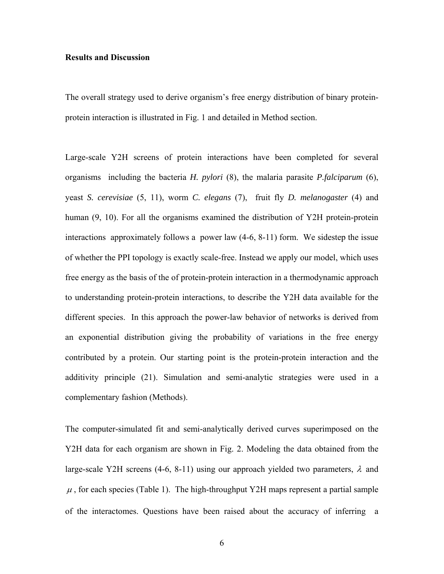#### **Results and Discussion**

The overall strategy used to derive organism's free energy distribution of binary proteinprotein interaction is illustrated in Fig. 1 and detailed in Method section.

Large-scale Y2H screens of protein interactions have been completed for several organisms including the bacteria *H. pylori* (8), the malaria parasite *P.falciparum* (6), yeast *S. cerevisiae* (5, 11), worm *C. elegans* (7), fruit fly *D. melanogaster* (4) and human (9, 10). For all the organisms examined the distribution of Y2H protein-protein interactions approximately follows a power law (4-6, 8-11) form. We sidestep the issue of whether the PPI topology is exactly scale-free. Instead we apply our model, which uses free energy as the basis of the of protein-protein interaction in a thermodynamic approach to understanding protein-protein interactions, to describe the Y2H data available for the different species. In this approach the power-law behavior of networks is derived from an exponential distribution giving the probability of variations in the free energy contributed by a protein. Our starting point is the protein-protein interaction and the additivity principle (21). Simulation and semi-analytic strategies were used in a complementary fashion (Methods).

The computer-simulated fit and semi-analytically derived curves superimposed on the Y2H data for each organism are shown in Fig. 2. Modeling the data obtained from the large-scale Y2H screens (4-6, 8-11) using our approach yielded two parameters,  $\lambda$  and  $\mu$ , for each species (Table 1). The high-throughput Y2H maps represent a partial sample of the interactomes. Questions have been raised about the accuracy of inferring a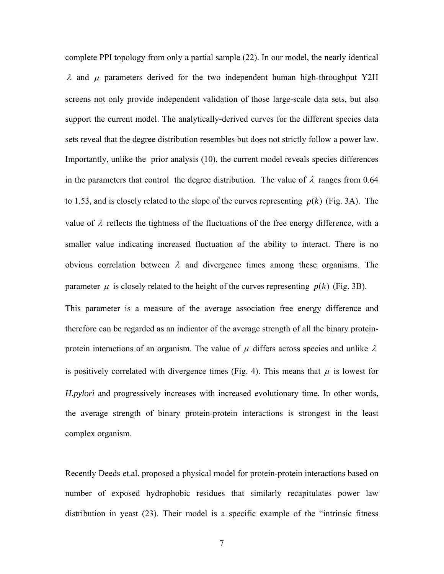complete PPI topology from only a partial sample (22). In our model, the nearly identical λ and  $\mu$  parameters derived for the two independent human high-throughput Y2H screens not only provide independent validation of those large-scale data sets, but also support the current model. The analytically-derived curves for the different species data sets reveal that the degree distribution resembles but does not strictly follow a power law. Importantly, unlike the prior analysis (10), the current model reveals species differences in the parameters that control the degree distribution. The value of  $\lambda$  ranges from 0.64 to 1.53, and is closely related to the slope of the curves representing  $p(k)$  (Fig. 3A). The value of  $\lambda$  reflects the tightness of the fluctuations of the free energy difference, with a smaller value indicating increased fluctuation of the ability to interact. There is no obvious correlation between  $\lambda$  and divergence times among these organisms. The parameter  $\mu$  is closely related to the height of the curves representing  $p(k)$  (Fig. 3B).

This parameter is a measure of the average association free energy difference and therefore can be regarded as an indicator of the average strength of all the binary proteinprotein interactions of an organism. The value of  $\mu$  differs across species and unlike  $\lambda$ is positively correlated with divergence times (Fig. 4). This means that  $\mu$  is lowest for *H.pylori* and progressively increases with increased evolutionary time. In other words, the average strength of binary protein-protein interactions is strongest in the least complex organism.

Recently Deeds et.al. proposed a physical model for protein-protein interactions based on number of exposed hydrophobic residues that similarly recapitulates power law distribution in yeast (23). Their model is a specific example of the "intrinsic fitness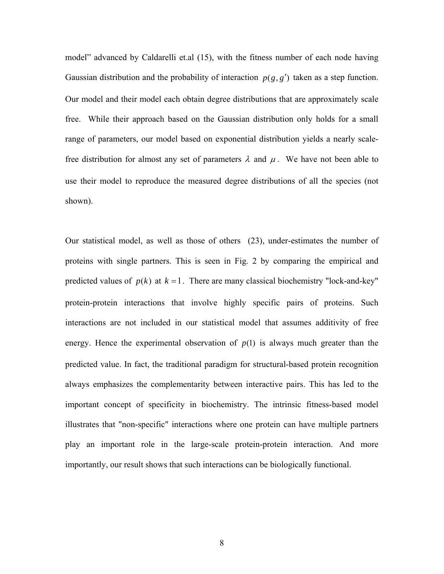model" advanced by Caldarelli et.al (15), with the fitness number of each node having Gaussian distribution and the probability of interaction  $p(g, g')$  taken as a step function. Our model and their model each obtain degree distributions that are approximately scale free. While their approach based on the Gaussian distribution only holds for a small range of parameters, our model based on exponential distribution yields a nearly scalefree distribution for almost any set of parameters  $\lambda$  and  $\mu$ . We have not been able to use their model to reproduce the measured degree distributions of all the species (not shown).

Our statistical model, as well as those of others (23), under-estimates the number of proteins with single partners. This is seen in Fig. 2 by comparing the empirical and predicted values of  $p(k)$  at  $k = 1$ . There are many classical biochemistry "lock-and-key" protein-protein interactions that involve highly specific pairs of proteins. Such interactions are not included in our statistical model that assumes additivity of free energy. Hence the experimental observation of  $p(1)$  is always much greater than the predicted value. In fact, the traditional paradigm for structural-based protein recognition always emphasizes the complementarity between interactive pairs. This has led to the important concept of specificity in biochemistry. The intrinsic fitness-based model illustrates that "non-specific" interactions where one protein can have multiple partners play an important role in the large-scale protein-protein interaction. And more importantly, our result shows that such interactions can be biologically functional.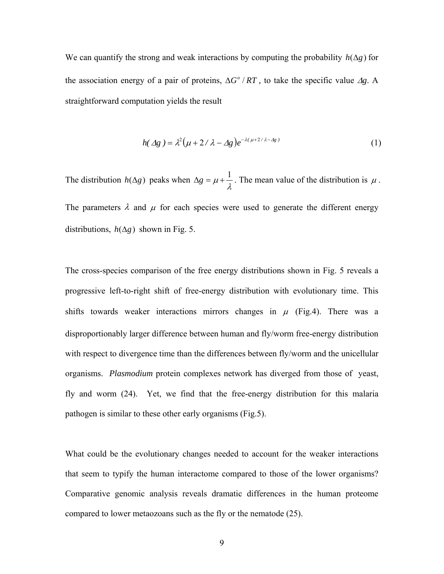We can quantify the strong and weak interactions by computing the probability  $h(\Delta g)$  for the association energy of a pair of proteins,  $\Delta G^{\circ}/RT$ , to take the specific value  $\Delta g$ . A straightforward computation yields the result

$$
h(\Delta g) = \lambda^2 (\mu + 2/\lambda - \Delta g) e^{-\lambda(\mu + 2/\lambda - \Delta g)}
$$
 (1)

The distribution  $h(\Delta g)$  peaks when  $\Delta g = \mu + \frac{1}{\lambda}$ . The mean value of the distribution is  $\mu$ . The parameters  $\lambda$  and  $\mu$  for each species were used to generate the different energy distributions,  $h(\Delta g)$  shown in Fig. 5.

The cross-species comparison of the free energy distributions shown in Fig. 5 reveals a progressive left-to-right shift of free-energy distribution with evolutionary time. This shifts towards weaker interactions mirrors changes in  $\mu$  (Fig.4). There was a disproportionably larger difference between human and fly/worm free-energy distribution with respect to divergence time than the differences between fly/worm and the unicellular organisms. *Plasmodium* protein complexes network has diverged from those of yeast, fly and worm (24). Yet, we find that the free-energy distribution for this malaria pathogen is similar to these other early organisms (Fig.5).

What could be the evolutionary changes needed to account for the weaker interactions that seem to typify the human interactome compared to those of the lower organisms? Comparative genomic analysis reveals dramatic differences in the human proteome compared to lower metaozoans such as the fly or the nematode (25).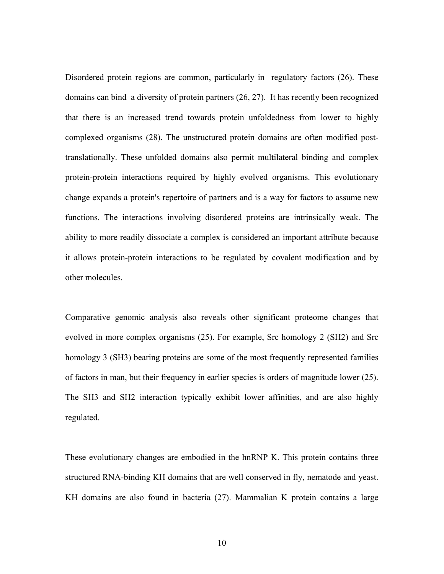Disordered protein regions are common, particularly in regulatory factors (26). These domains can bind a diversity of protein partners (26, 27). It has recently been recognized that there is an increased trend towards protein unfoldedness from lower to highly complexed organisms (28). The unstructured protein domains are often modified posttranslationally. These unfolded domains also permit multilateral binding and complex protein-protein interactions required by highly evolved organisms. This evolutionary change expands a protein's repertoire of partners and is a way for factors to assume new functions. The interactions involving disordered proteins are intrinsically weak. The ability to more readily dissociate a complex is considered an important attribute because it allows protein-protein interactions to be regulated by covalent modification and by other molecules.

Comparative genomic analysis also reveals other significant proteome changes that evolved in more complex organisms (25). For example, Src homology 2 (SH2) and Src homology 3 (SH3) bearing proteins are some of the most frequently represented families of factors in man, but their frequency in earlier species is orders of magnitude lower (25). The SH3 and SH2 interaction typically exhibit lower affinities, and are also highly regulated.

These evolutionary changes are embodied in the hnRNP K. This protein contains three structured RNA-binding KH domains that are well conserved in fly, nematode and yeast. KH domains are also found in bacteria (27). Mammalian K protein contains a large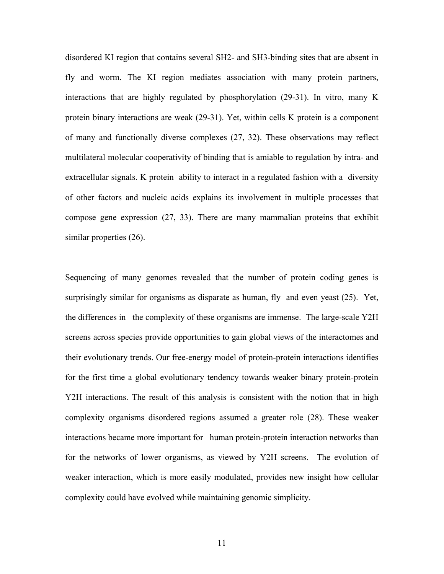disordered KI region that contains several SH2- and SH3-binding sites that are absent in fly and worm. The KI region mediates association with many protein partners, interactions that are highly regulated by phosphorylation (29-31). In vitro, many K protein binary interactions are weak (29-31). Yet, within cells K protein is a component of many and functionally diverse complexes (27, 32). These observations may reflect multilateral molecular cooperativity of binding that is amiable to regulation by intra- and extracellular signals. K protein ability to interact in a regulated fashion with a diversity of other factors and nucleic acids explains its involvement in multiple processes that compose gene expression (27, 33). There are many mammalian proteins that exhibit similar properties (26).

Sequencing of many genomes revealed that the number of protein coding genes is surprisingly similar for organisms as disparate as human, fly and even yeast (25). Yet, the differences in the complexity of these organisms are immense. The large-scale Y2H screens across species provide opportunities to gain global views of the interactomes and their evolutionary trends. Our free-energy model of protein-protein interactions identifies for the first time a global evolutionary tendency towards weaker binary protein-protein Y2H interactions. The result of this analysis is consistent with the notion that in high complexity organisms disordered regions assumed a greater role (28). These weaker interactions became more important for human protein-protein interaction networks than for the networks of lower organisms, as viewed by Y2H screens. The evolution of weaker interaction, which is more easily modulated, provides new insight how cellular complexity could have evolved while maintaining genomic simplicity.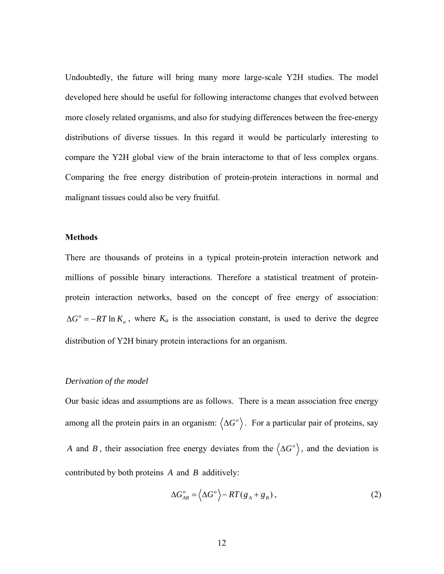Undoubtedly, the future will bring many more large-scale Y2H studies. The model developed here should be useful for following interactome changes that evolved between more closely related organisms, and also for studying differences between the free-energy distributions of diverse tissues. In this regard it would be particularly interesting to compare the Y2H global view of the brain interactome to that of less complex organs. Comparing the free energy distribution of protein-protein interactions in normal and malignant tissues could also be very fruitful.

#### **Methods**

There are thousands of proteins in a typical protein-protein interaction network and millions of possible binary interactions. Therefore a statistical treatment of proteinprotein interaction networks, based on the concept of free energy of association:  $\Delta G^{\circ} = -RT \ln K_a$ , where  $K_a$  is the association constant, is used to derive the degree distribution of Y2H binary protein interactions for an organism.

#### *Derivation of the model*

Our basic ideas and assumptions are as follows. There is a mean association free energy among all the protein pairs in an organism:  $\langle \Delta G^{\circ} \rangle$ . For a particular pair of proteins, say *A* and *B*, their association free energy deviates from the  $\langle \Delta G^{\circ} \rangle$ , and the deviation is contributed by both proteins *A* and *B* additively:

$$
\Delta G_{AB}^o = \langle \Delta G^o \rangle - RT(g_A + g_B), \qquad (2)
$$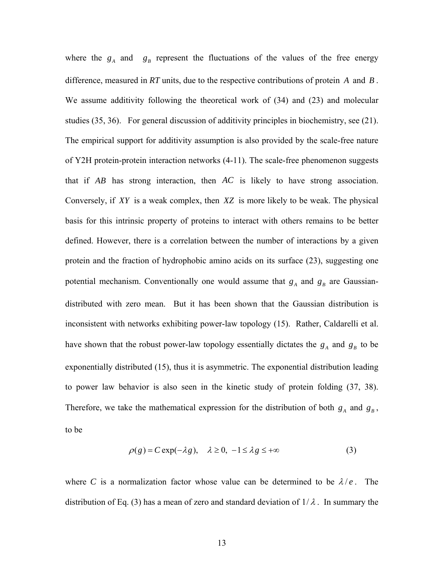where the  $g_A$  and  $g_B$  represent the fluctuations of the values of the free energy difference, measured in *RT* units, due to the respective contributions of protein *A* and *B* . We assume additivity following the theoretical work of (34) and (23) and molecular studies (35, 36). For general discussion of additivity principles in biochemistry, see (21). The empirical support for additivity assumption is also provided by the scale-free nature of Y2H protein-protein interaction networks (4-11). The scale-free phenomenon suggests that if *AB* has strong interaction, then *AC* is likely to have strong association. Conversely, if *XY* is a weak complex, then *XZ* is more likely to be weak. The physical basis for this intrinsic property of proteins to interact with others remains to be better defined. However, there is a correlation between the number of interactions by a given protein and the fraction of hydrophobic amino acids on its surface (23), suggesting one potential mechanism. Conventionally one would assume that  $g_A$  and  $g_B$  are Gaussiandistributed with zero mean. But it has been shown that the Gaussian distribution is inconsistent with networks exhibiting power-law topology (15). Rather, Caldarelli et al. have shown that the robust power-law topology essentially dictates the  $g_A$  and  $g_B$  to be exponentially distributed (15), thus it is asymmetric. The exponential distribution leading to power law behavior is also seen in the kinetic study of protein folding (37, 38). Therefore, we take the mathematical expression for the distribution of both  $g_A$  and  $g_B$ , to be

$$
\rho(g) = C \exp(-\lambda g), \quad \lambda \ge 0, \ -1 \le \lambda g \le +\infty \tag{3}
$$

where *C* is a normalization factor whose value can be determined to be  $\lambda/e$ . The distribution of Eq. (3) has a mean of zero and standard deviation of  $1/\lambda$ . In summary the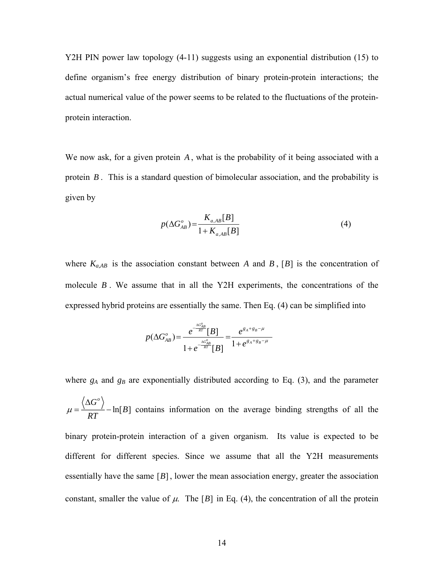Y2H PIN power law topology (4-11) suggests using an exponential distribution (15) to define organism's free energy distribution of binary protein-protein interactions; the actual numerical value of the power seems to be related to the fluctuations of the proteinprotein interaction.

We now ask, for a given protein *A* , what is the probability of it being associated with a protein *B* . This is a standard question of bimolecular association, and the probability is given by

$$
p(\Delta G_{AB}^o) = \frac{K_{a,AB}[B]}{1 + K_{a,AB}[B]}
$$
(4)

where  $K_{a,AB}$  is the association constant between *A* and *B*, [*B*] is the concentration of molecule *B* . We assume that in all the Y2H experiments, the concentrations of the expressed hybrid proteins are essentially the same. Then Eq. (4) can be simplified into

$$
p(\Delta G_{AB}^o) = \frac{e^{-\frac{\Delta G_{AB}^o}{RT}}[B]}{1 + e^{-\frac{\Delta G_{AB}^o}{RT}}[B]} = \frac{e^{g_A + g_B - \mu}}{1 + e^{g_A + g_B - \mu}}
$$

where  $g_A$  and  $g_B$  are exponentially distributed according to Eq. (3), and the parameter  $\ln[B]$  $G^o$  $\mu = \frac{1}{RT} - \ln[B]$  $=\frac{\langle \Delta G^{\circ} \rangle}{\Delta G^{\circ}}$  - ln[B] contains information on the average binding strengths of all the binary protein-protein interaction of a given organism. Its value is expected to be different for different species. Since we assume that all the Y2H measurements essentially have the same [*B*], lower the mean association energy, greater the association constant, smaller the value of  $\mu$ . The [*B*] in Eq. (4), the concentration of all the protein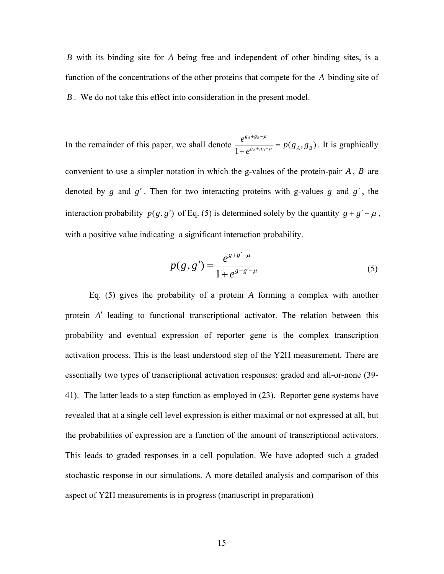*B* with its binding site for *A* being free and independent of other binding sites, is a function of the concentrations of the other proteins that compete for the *A* binding site of *B* . We do not take this effect into consideration in the present model.

In the remainder of this paper, we shall denote  $\frac{e^{g_A+g_B-\mu}}{1+e^{g_A+g_B-\mu}} = p(g_A, g_B)$ *A B*  $g_A + g$  $g_{A} + g_{B} - \mu$  –  $P(\mathcal{S}_{A}, \mathcal{S}_{B})$  $\frac{e^{g_A+g_B-\mu}}{g_{A+g-\mu}}=p(g_A,g)$ *e* μ μ  $+ g_R \frac{e}{+e^{g_A+g_B-\mu}} = p(g_A, g_B)$ . It is graphically convenient to use a simpler notation in which the g-values of the protein-pair *A* , *B* are denoted by *g* and *g*′ . Then for two interacting proteins with g-values *g* and *g*′ , the interaction probability  $p(g, g')$  of Eq. (5) is determined solely by the quantity  $g + g' - \mu$ , with a positive value indicating a significant interaction probability.

$$
p(g, g') = \frac{e^{g + g' - \mu}}{1 + e^{g + g' - \mu}}
$$
\n(5)

 Eq. (5) gives the probability of a protein *A* forming a complex with another protein *A*′ leading to functional transcriptional activator. The relation between this probability and eventual expression of reporter gene is the complex transcription activation process. This is the least understood step of the Y2H measurement. There are essentially two types of transcriptional activation responses: graded and all-or-none (39- 41). The latter leads to a step function as employed in (23). Reporter gene systems have revealed that at a single cell level expression is either maximal or not expressed at all, but the probabilities of expression are a function of the amount of transcriptional activators. This leads to graded responses in a cell population. We have adopted such a graded stochastic response in our simulations. A more detailed analysis and comparison of this aspect of Y2H measurements is in progress (manuscript in preparation)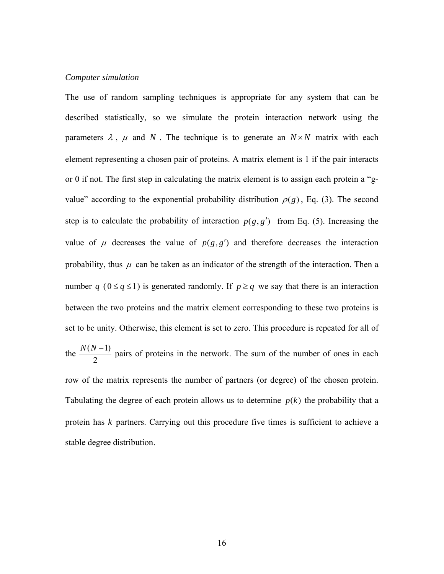#### *Computer simulation*

The use of random sampling techniques is appropriate for any system that can be described statistically, so we simulate the protein interaction network using the parameters  $\lambda$ ,  $\mu$  and  $N$ . The technique is to generate an  $N \times N$  matrix with each element representing a chosen pair of proteins. A matrix element is 1 if the pair interacts or 0 if not. The first step in calculating the matrix element is to assign each protein a "gvalue" according to the exponential probability distribution  $\rho(g)$ , Eq. (3). The second step is to calculate the probability of interaction  $p(g, g')$  from Eq. (5). Increasing the value of  $\mu$  decreases the value of  $p(g, g')$  and therefore decreases the interaction probability, thus  $\mu$  can be taken as an indicator of the strength of the interaction. Then a number *q* ( $0 \le q \le 1$ ) is generated randomly. If  $p \ge q$  we say that there is an interaction between the two proteins and the matrix element corresponding to these two proteins is set to be unity. Otherwise, this element is set to zero. This procedure is repeated for all of the  $\frac{N(N-1)}{2}$ 2  $\frac{N(N-1)}{2}$  pairs of proteins in the network. The sum of the number of ones in each row of the matrix represents the number of partners (or degree) of the chosen protein. Tabulating the degree of each protein allows us to determine  $p(k)$  the probability that a protein has *k* partners. Carrying out this procedure five times is sufficient to achieve a stable degree distribution.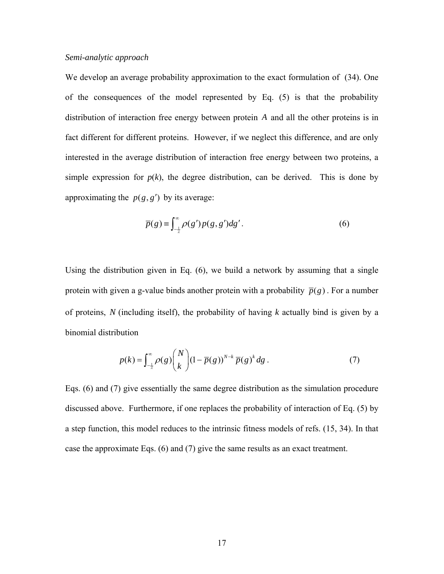#### *Semi-analytic approach*

We develop an average probability approximation to the exact formulation of (34). One of the consequences of the model represented by Eq. (5) is that the probability distribution of interaction free energy between protein *A* and all the other proteins is in fact different for different proteins. However, if we neglect this difference, and are only interested in the average distribution of interaction free energy between two proteins, a simple expression for  $p(k)$ , the degree distribution, can be derived. This is done by approximating the  $p(g, g')$  by its average:

$$
\overline{p}(g) \equiv \int_{-\frac{1}{2}}^{\infty} \rho(g') p(g, g') dg'.
$$
 (6)

Using the distribution given in Eq. (6), we build a network by assuming that a single protein with given a g-value binds another protein with a probability  $\bar{p}(g)$ . For a number of proteins, *N* (including itself), the probability of having *k* actually bind is given by a binomial distribution

$$
p(k) = \int_{-\frac{1}{2}}^{\infty} \rho(g) \binom{N}{k} (1 - \overline{p}(g))^{N-k} \overline{p}(g)^{k} dg.
$$
 (7)

Eqs. (6) and (7) give essentially the same degree distribution as the simulation procedure discussed above. Furthermore, if one replaces the probability of interaction of Eq. (5) by a step function, this model reduces to the intrinsic fitness models of refs. (15, 34). In that case the approximate Eqs. (6) and (7) give the same results as an exact treatment.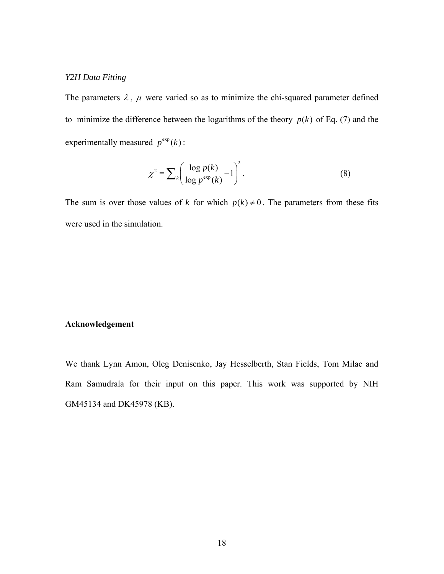## *Y2H Data Fitting*

The parameters  $\lambda$ ,  $\mu$  were varied so as to minimize the chi-squared parameter defined to minimize the difference between the logarithms of the theory  $p(k)$  of Eq. (7) and the experimentally measured  $p^{\exp}(k)$ :

$$
\chi^2 \equiv \sum_{k} \left( \frac{\log p(k)}{\log p^{\exp}(k)} - 1 \right)^2.
$$
 (8)

The sum is over those values of *k* for which  $p(k) \neq 0$ . The parameters from these fits were used in the simulation.

#### **Acknowledgement**

We thank Lynn Amon, Oleg Denisenko, Jay Hesselberth, Stan Fields, Tom Milac and Ram Samudrala for their input on this paper. This work was supported by NIH GM45134 and DK45978 (KB).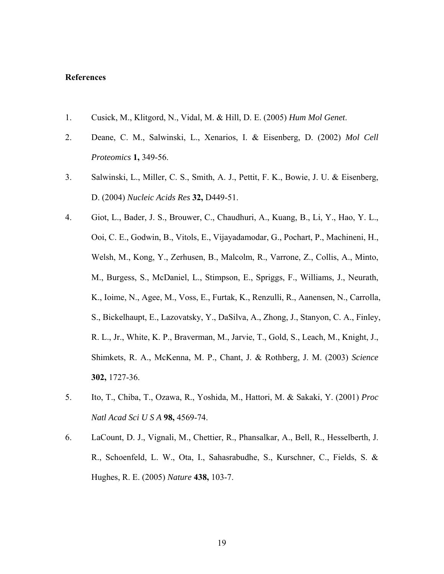#### **References**

- 1. Cusick, M., Klitgord, N., Vidal, M. & Hill, D. E. (2005) *Hum Mol Genet*.
- 2. Deane, C. M., Salwinski, L., Xenarios, I. & Eisenberg, D. (2002) *Mol Cell Proteomics* **1,** 349-56.
- 3. Salwinski, L., Miller, C. S., Smith, A. J., Pettit, F. K., Bowie, J. U. & Eisenberg, D. (2004) *Nucleic Acids Res* **32,** D449-51.
- 4. Giot, L., Bader, J. S., Brouwer, C., Chaudhuri, A., Kuang, B., Li, Y., Hao, Y. L., Ooi, C. E., Godwin, B., Vitols, E., Vijayadamodar, G., Pochart, P., Machineni, H., Welsh, M., Kong, Y., Zerhusen, B., Malcolm, R., Varrone, Z., Collis, A., Minto, M., Burgess, S., McDaniel, L., Stimpson, E., Spriggs, F., Williams, J., Neurath, K., Ioime, N., Agee, M., Voss, E., Furtak, K., Renzulli, R., Aanensen, N., Carrolla, S., Bickelhaupt, E., Lazovatsky, Y., DaSilva, A., Zhong, J., Stanyon, C. A., Finley, R. L., Jr., White, K. P., Braverman, M., Jarvie, T., Gold, S., Leach, M., Knight, J., Shimkets, R. A., McKenna, M. P., Chant, J. & Rothberg, J. M. (2003) *Science* **302,** 1727-36.
- 5. Ito, T., Chiba, T., Ozawa, R., Yoshida, M., Hattori, M. & Sakaki, Y. (2001) *Proc Natl Acad Sci U S A* **98,** 4569-74.
- 6. LaCount, D. J., Vignali, M., Chettier, R., Phansalkar, A., Bell, R., Hesselberth, J. R., Schoenfeld, L. W., Ota, I., Sahasrabudhe, S., Kurschner, C., Fields, S. & Hughes, R. E. (2005) *Nature* **438,** 103-7.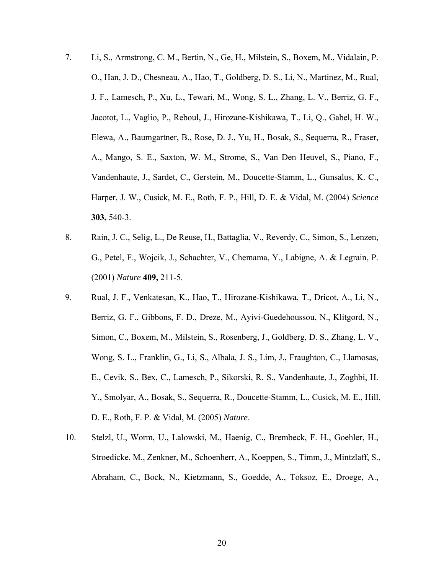- 7. Li, S., Armstrong, C. M., Bertin, N., Ge, H., Milstein, S., Boxem, M., Vidalain, P. O., Han, J. D., Chesneau, A., Hao, T., Goldberg, D. S., Li, N., Martinez, M., Rual, J. F., Lamesch, P., Xu, L., Tewari, M., Wong, S. L., Zhang, L. V., Berriz, G. F., Jacotot, L., Vaglio, P., Reboul, J., Hirozane-Kishikawa, T., Li, Q., Gabel, H. W., Elewa, A., Baumgartner, B., Rose, D. J., Yu, H., Bosak, S., Sequerra, R., Fraser, A., Mango, S. E., Saxton, W. M., Strome, S., Van Den Heuvel, S., Piano, F., Vandenhaute, J., Sardet, C., Gerstein, M., Doucette-Stamm, L., Gunsalus, K. C., Harper, J. W., Cusick, M. E., Roth, F. P., Hill, D. E. & Vidal, M. (2004) *Science* **303,** 540-3.
- 8. Rain, J. C., Selig, L., De Reuse, H., Battaglia, V., Reverdy, C., Simon, S., Lenzen, G., Petel, F., Wojcik, J., Schachter, V., Chemama, Y., Labigne, A. & Legrain, P. (2001) *Nature* **409,** 211-5.
- 9. Rual, J. F., Venkatesan, K., Hao, T., Hirozane-Kishikawa, T., Dricot, A., Li, N., Berriz, G. F., Gibbons, F. D., Dreze, M., Ayivi-Guedehoussou, N., Klitgord, N., Simon, C., Boxem, M., Milstein, S., Rosenberg, J., Goldberg, D. S., Zhang, L. V., Wong, S. L., Franklin, G., Li, S., Albala, J. S., Lim, J., Fraughton, C., Llamosas, E., Cevik, S., Bex, C., Lamesch, P., Sikorski, R. S., Vandenhaute, J., Zoghbi, H. Y., Smolyar, A., Bosak, S., Sequerra, R., Doucette-Stamm, L., Cusick, M. E., Hill, D. E., Roth, F. P. & Vidal, M. (2005) *Nature*.
- 10. Stelzl, U., Worm, U., Lalowski, M., Haenig, C., Brembeck, F. H., Goehler, H., Stroedicke, M., Zenkner, M., Schoenherr, A., Koeppen, S., Timm, J., Mintzlaff, S., Abraham, C., Bock, N., Kietzmann, S., Goedde, A., Toksoz, E., Droege, A.,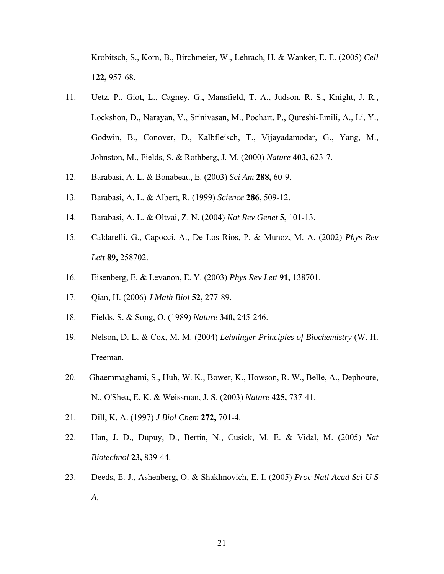Krobitsch, S., Korn, B., Birchmeier, W., Lehrach, H. & Wanker, E. E. (2005) *Cell* **122,** 957-68.

- 11. Uetz, P., Giot, L., Cagney, G., Mansfield, T. A., Judson, R. S., Knight, J. R., Lockshon, D., Narayan, V., Srinivasan, M., Pochart, P., Qureshi-Emili, A., Li, Y., Godwin, B., Conover, D., Kalbfleisch, T., Vijayadamodar, G., Yang, M., Johnston, M., Fields, S. & Rothberg, J. M. (2000) *Nature* **403,** 623-7.
- 12. Barabasi, A. L. & Bonabeau, E. (2003) *Sci Am* **288,** 60-9.
- 13. Barabasi, A. L. & Albert, R. (1999) *Science* **286,** 509-12.
- 14. Barabasi, A. L. & Oltvai, Z. N. (2004) *Nat Rev Genet* **5,** 101-13.
- 15. Caldarelli, G., Capocci, A., De Los Rios, P. & Munoz, M. A. (2002) *Phys Rev Lett* **89,** 258702.
- 16. Eisenberg, E. & Levanon, E. Y. (2003) *Phys Rev Lett* **91,** 138701.
- 17. Qian, H. (2006) *J Math Biol* **52,** 277-89.
- 18. Fields, S. & Song, O. (1989) *Nature* **340,** 245-246.
- 19. Nelson, D. L. & Cox, M. M. (2004) *Lehninger Principles of Biochemistry* (W. H. Freeman.
- 20. Ghaemmaghami, S., Huh, W. K., Bower, K., Howson, R. W., Belle, A., Dephoure, N., O'Shea, E. K. & Weissman, J. S. (2003) *Nature* **425,** 737-41.
- 21. Dill, K. A. (1997) *J Biol Chem* **272,** 701-4.
- 22. Han, J. D., Dupuy, D., Bertin, N., Cusick, M. E. & Vidal, M. (2005) *Nat Biotechnol* **23,** 839-44.
- 23. Deeds, E. J., Ashenberg, O. & Shakhnovich, E. I. (2005) *Proc Natl Acad Sci U S A*.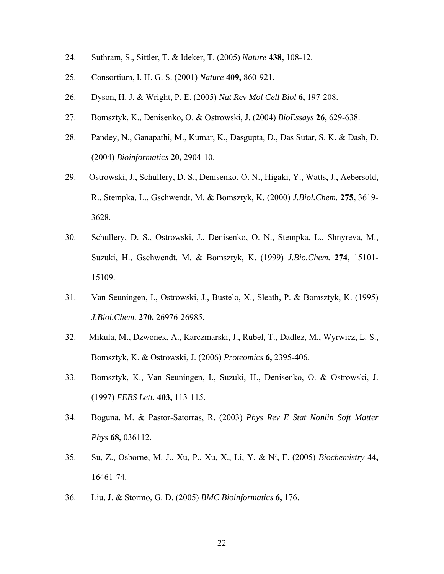- 24. Suthram, S., Sittler, T. & Ideker, T. (2005) *Nature* **438,** 108-12.
- 25. Consortium, I. H. G. S. (2001) *Nature* **409,** 860-921.
- 26. Dyson, H. J. & Wright, P. E. (2005) *Nat Rev Mol Cell Biol* **6,** 197-208.
- 27. Bomsztyk, K., Denisenko, O. & Ostrowski, J. (2004) *BioEssays* **26,** 629-638.
- 28. Pandey, N., Ganapathi, M., Kumar, K., Dasgupta, D., Das Sutar, S. K. & Dash, D. (2004) *Bioinformatics* **20,** 2904-10.
- 29. Ostrowski, J., Schullery, D. S., Denisenko, O. N., Higaki, Y., Watts, J., Aebersold, R., Stempka, L., Gschwendt, M. & Bomsztyk, K. (2000) *J.Biol.Chem.* **275,** 3619- 3628.
- 30. Schullery, D. S., Ostrowski, J., Denisenko, O. N., Stempka, L., Shnyreva, M., Suzuki, H., Gschwendt, M. & Bomsztyk, K. (1999) *J.Bio.Chem.* **274,** 15101- 15109.
- 31. Van Seuningen, I., Ostrowski, J., Bustelo, X., Sleath, P. & Bomsztyk, K. (1995) *J.Biol.Chem.* **270,** 26976-26985.
- 32. Mikula, M., Dzwonek, A., Karczmarski, J., Rubel, T., Dadlez, M., Wyrwicz, L. S., Bomsztyk, K. & Ostrowski, J. (2006) *Proteomics* **6,** 2395-406.
- 33. Bomsztyk, K., Van Seuningen, I., Suzuki, H., Denisenko, O. & Ostrowski, J. (1997) *FEBS Lett.* **403,** 113-115.
- 34. Boguna, M. & Pastor-Satorras, R. (2003) *Phys Rev E Stat Nonlin Soft Matter Phys* **68,** 036112.
- 35. Su, Z., Osborne, M. J., Xu, P., Xu, X., Li, Y. & Ni, F. (2005) *Biochemistry* **44,** 16461-74.
- 36. Liu, J. & Stormo, G. D. (2005) *BMC Bioinformatics* **6,** 176.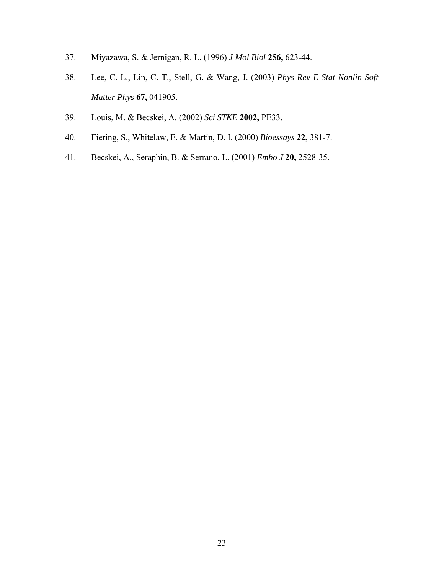- 37. Miyazawa, S. & Jernigan, R. L. (1996) *J Mol Biol* **256,** 623-44.
- 38. Lee, C. L., Lin, C. T., Stell, G. & Wang, J. (2003) *Phys Rev E Stat Nonlin Soft Matter Phys* **67,** 041905.
- 39. Louis, M. & Becskei, A. (2002) *Sci STKE* **2002,** PE33.
- 40. Fiering, S., Whitelaw, E. & Martin, D. I. (2000) *Bioessays* **22,** 381-7.
- 41. Becskei, A., Seraphin, B. & Serrano, L. (2001) *Embo J* **20,** 2528-35.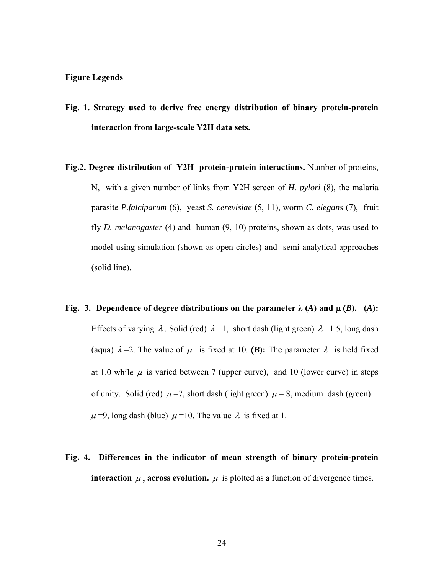#### **Figure Legends**

- **Fig. 1. Strategy used to derive free energy distribution of binary protein-protein interaction from large-scale Y2H data sets.**
- **Fig.2. Degree distribution of Y2H protein-protein interactions.** Number of proteins, N, with a given number of links from Y2H screen of *H. pylori* (8), the malaria parasite *P.falciparum* (6), yeast *S. cerevisiae* (5, 11), worm *C. elegans* (7), fruit fly *D. melanogaster* (4) and human (9, 10) proteins, shown as dots, was used to model using simulation (shown as open circles) and semi-analytical approaches (solid line).
- **Fig. 3. Dependence of degree distributions on the parameter**  $\lambda(A)$  **and**  $\mu(B)$ **.** (*A*): Effects of varying  $\lambda$ . Solid (red)  $\lambda = 1$ , short dash (light green)  $\lambda = 1.5$ , long dash (aqua)  $\lambda = 2$ . The value of  $\mu$  is fixed at 10. **(B):** The parameter  $\lambda$  is held fixed at 1.0 while  $\mu$  is varied between 7 (upper curve), and 10 (lower curve) in steps of unity. Solid (red)  $\mu$  =7, short dash (light green)  $\mu$  = 8, medium dash (green)  $\mu$  =9, long dash (blue)  $\mu$  =10. The value  $\lambda$  is fixed at 1.
- **Fig. 4. Differences in the indicator of mean strength of binary protein-protein interaction**  $\mu$ , **across evolution.**  $\mu$  is plotted as a function of divergence times.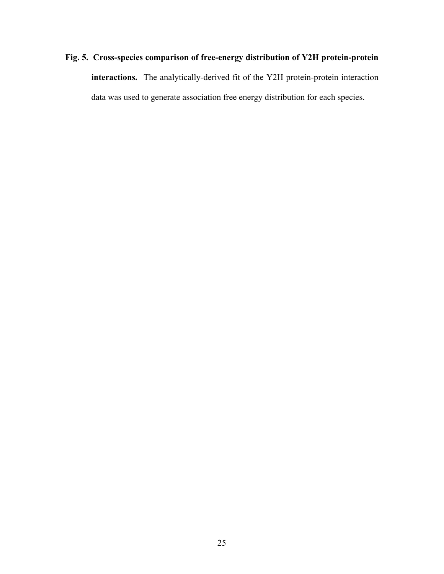# **Fig. 5. Cross-species comparison of free-energy distribution of Y2H protein-protein interactions.** The analytically-derived fit of the Y2H protein-protein interaction data was used to generate association free energy distribution for each species.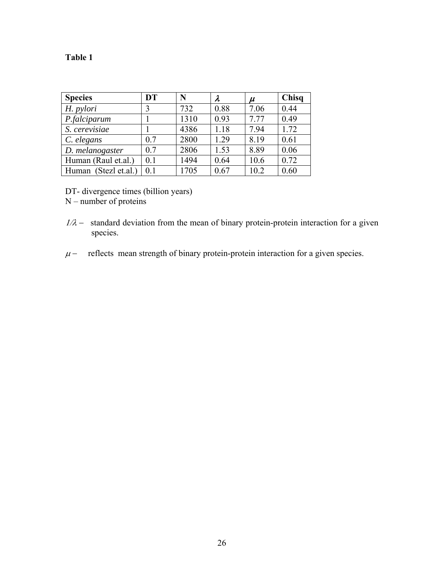# **Table 1**

| <b>Species</b>       | <b>DT</b> | N    | λ    | $\mu$ | Chisq |
|----------------------|-----------|------|------|-------|-------|
| H. pylori            |           | 732  | 0.88 | 7.06  | 0.44  |
| P.falciparum         |           | 1310 | 0.93 | 7.77  | 0.49  |
| S. cerevisiae        |           | 4386 | 1.18 | 7.94  | 1.72  |
| C. elegans           | 0.7       | 2800 | 1.29 | 8.19  | 0.61  |
| D. melanogaster      | 0.7       | 2806 | 1.53 | 8.89  | 0.06  |
| Human (Raul et.al.)  | 0.1       | 1494 | 0.64 | 10.6  | 0.72  |
| Human (Stezl et.al.) | 0.1       | 1705 | 0.67 | 10.2  | 0.60  |

DT- divergence times (billion years)

 $N$  – number of proteins

- $1/\lambda$  standard deviation from the mean of binary protein-protein interaction for a given species.
- $\mu$  reflects mean strength of binary protein-protein interaction for a given species.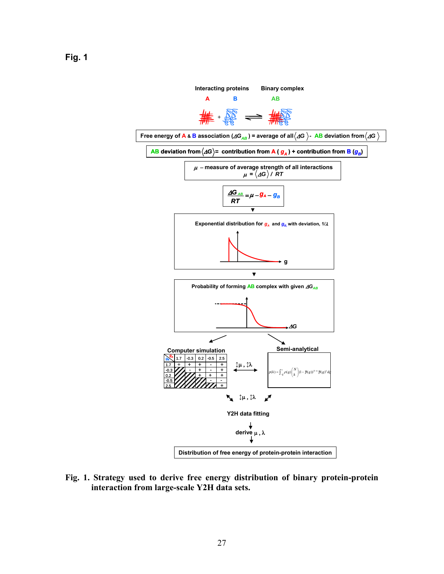

**Fig. 1. Strategy used to derive free energy distribution of binary protein-protein interaction from large-scale Y2H data sets.**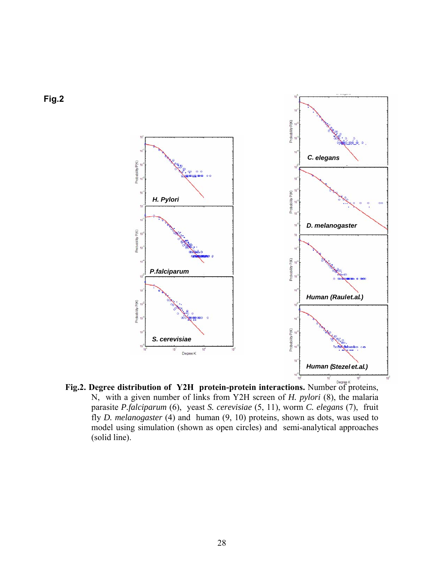

**Fig.2. Degree distribution of Y2H protein-protein interactions.** Number of proteins, N, with a given number of links from Y2H screen of *H. pylori* (8), the malaria parasite *P.falciparum* (6), yeast *S. cerevisiae* (5, 11), worm *C. elegans* (7), fruit fly *D. melanogaster* (4) and human (9, 10) proteins, shown as dots, was used to model using simulation (shown as open circles) and semi-analytical approaches (solid line).

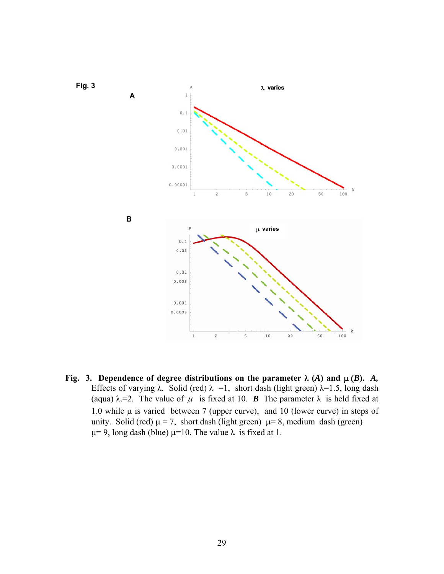

**Fig. 3. Dependence of degree distributions on the parameter**  $\lambda$  **(***A***) and**  $\mu$  **(***B***).** *A***,** Effects of varying  $\lambda$ . Solid (red)  $\lambda = 1$ , short dash (light green)  $\lambda = 1.5$ , long dash (aqua)  $\lambda = 2$ . The value of  $\mu$  is fixed at 10. **B** The parameter  $\lambda$  is held fixed at 1.0 while  $\mu$  is varied between 7 (upper curve), and 10 (lower curve) in steps of unity. Solid (red)  $\mu$  = 7, short dash (light green)  $\mu$  = 8, medium dash (green) μ= 9, long dash (blue) μ=10. The value  $\lambda$  is fixed at 1.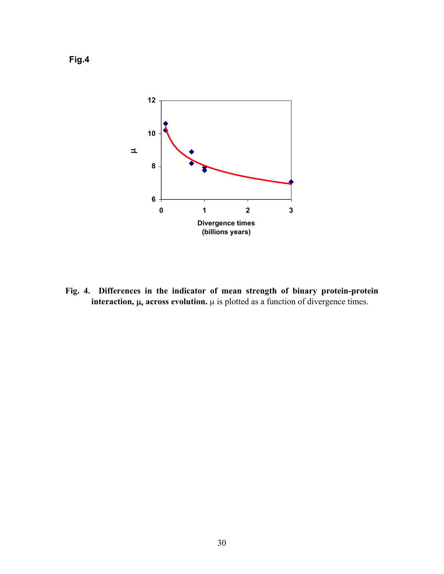

**Fig. 4. Differences in the indicator of mean strength of binary protein-protein interaction,** μ, **across evolution.** μ is plotted as a function of divergence times.